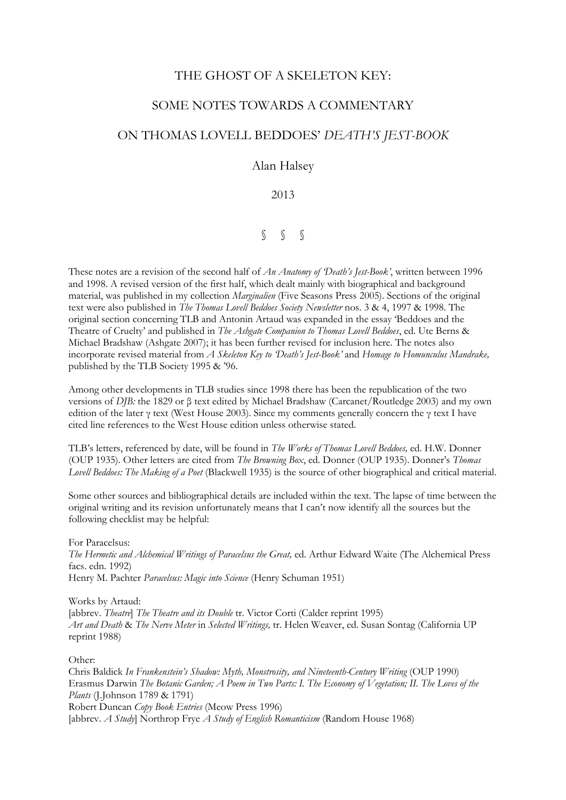# THE GHOST OF A SKELETON KEY:

## SOME NOTES TOWARDS A COMMENTARY

## ON THOMAS LOVELL BEDDOES' *DEATH'S JEST-BOOK*

Alan Halsey

2013

§ § §

These notes are a revision of the second half of *An Anatomy of 'Death's Jest-Book'*, written between 1996 and 1998. A revised version of the first half, which dealt mainly with biographical and background material, was published in my collection *Marginalien* (Five Seasons Press 2005). Sections of the original text were also published in *The Thomas Lovell Beddoes Society Newsletter* nos. 3 & 4, 1997 & 1998. The original section concerning TLB and Antonin Artaud was expanded in the essay 'Beddoes and the Theatre of Cruelty' and published in *The Ashgate Companion to Thomas Lovell Beddoes*, ed. Ute Berns & Michael Bradshaw (Ashgate 2007); it has been further revised for inclusion here. The notes also incorporate revised material from *A Skeleton Key to 'Death's Jest-Book'* and *Homage to Homunculus Mandrake,*  published by the TLB Society 1995 & '96.

Among other developments in TLB studies since 1998 there has been the republication of the two versions of *DJB:* the 1829 or β text edited by Michael Bradshaw (Carcanet/Routledge 2003) and my own edition of the later γ text (West House 2003). Since my comments generally concern the γ text I have cited line references to the West House edition unless otherwise stated.

TLB's letters, referenced by date, will be found in *The Works of Thomas Lovell Beddoes,* ed. H.W. Donner (OUP 1935). Other letters are cited from *The Browning Box*, ed. Donner (OUP 1935). Donner's *Thomas Lovell Beddoes: The Making of a Poet* (Blackwell 1935) is the source of other biographical and critical material.

Some other sources and bibliographical details are included within the text. The lapse of time between the original writing and its revision unfortunately means that I can't now identify all the sources but the following checklist may be helpful:

For Paracelsus:

*The Hermetic and Alchemical Writings of Paracelsus the Great,* ed. Arthur Edward Waite (The Alchemical Press facs. edn. 1992)

Henry M. Pachter *Paracelsus: Magic into Science* (Henry Schuman 1951)

Works by Artaud:

[abbrev. *Theatre*] *The Theatre and its Double* tr. Victor Corti (Calder reprint 1995) *Art and Death* & *The Nerve Meter* in *Selected Writings,* tr. Helen Weaver, ed. Susan Sontag (California UP reprint 1988)

Other:

Chris Baldick *In Frankenstein's Shadow: Myth, Monstrosity, and Nineteenth-Century Writing* (OUP 1990) Erasmus Darwin *The Botanic Garden; A Poem in Two Parts: I. The Economy of Vegetation; II. The Loves of the Plants* (J.Johnson 1789 & 1791) Robert Duncan *Copy Book Entries* (Meow Press 1996) [abbrev. *A Study*] Northrop Frye *A Study of English Romanticism* (Random House 1968)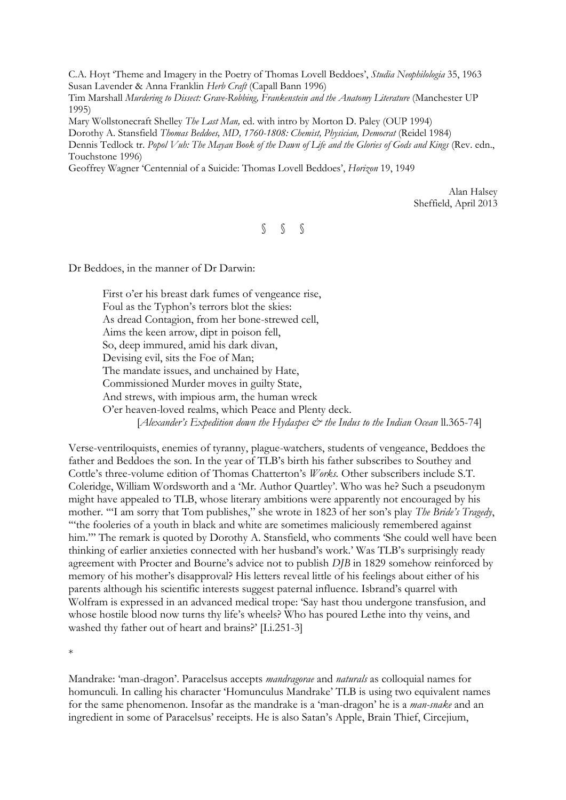C.A. Hoyt 'Theme and Imagery in the Poetry of Thomas Lovell Beddoes', *Studia Neophilologia* 35, 1963 Susan Lavender & Anna Franklin *Herb Craft* (Capall Bann 1996)

Tim Marshall *Murdering to Dissect: Grave-Robbing, Frankenstein and the Anatomy Literature* (Manchester UP 1995)

Mary Wollstonecraft Shelley *The Last Man,* ed. with intro by Morton D. Paley (OUP 1994) Dorothy A. Stansfield *Thomas Beddoes, MD, 1760-1808: Chemist, Physician, Democrat* (Reidel 1984) Dennis Tedlock tr. *Popol Vuh: The Mayan Book of the Dawn of Life and the Glories of Gods and Kings* (Rev. edn., Touchstone 1996)

Geoffrey Wagner 'Centennial of a Suicide: Thomas Lovell Beddoes', *Horizon* 19, 1949

Alan Halsey Sheffield, April 2013

§ § §

Dr Beddoes, in the manner of Dr Darwin:

First o'er his breast dark fumes of vengeance rise, Foul as the Typhon's terrors blot the skies: As dread Contagion, from her bone-strewed cell, Aims the keen arrow, dipt in poison fell, So, deep immured, amid his dark divan, Devising evil, sits the Foe of Man; The mandate issues, and unchained by Hate, Commissioned Murder moves in guilty State, And strews, with impious arm, the human wreck O'er heaven-loved realms, which Peace and Plenty deck. [*Alexander's Expedition down the Hydaspes*  $\mathcal{O}^*$  *the Indus to the Indian Ocean* 11.365-74]

Verse-ventriloquists, enemies of tyranny, plague-watchers, students of vengeance, Beddoes the father and Beddoes the son. In the year of TLB's birth his father subscribes to Southey and Cottle's three-volume edition of Thomas Chatterton's *Works.* Other subscribers include S.T. Coleridge, William Wordsworth and a 'Mr. Author Quartley'. Who was he? Such a pseudonym might have appealed to TLB, whose literary ambitions were apparently not encouraged by his mother. '"I am sorry that Tom publishes," she wrote in 1823 of her son's play *The Bride's Tragedy*, '"the fooleries of a youth in black and white are sometimes maliciously remembered against him."" The remark is quoted by Dorothy A. Stansfield, who comments 'She could well have been thinking of earlier anxieties connected with her husband's work.' Was TLB's surprisingly ready agreement with Procter and Bourne's advice not to publish *DJB* in 1829 somehow reinforced by memory of his mother's disapproval? His letters reveal little of his feelings about either of his parents although his scientific interests suggest paternal influence. Isbrand's quarrel with Wolfram is expressed in an advanced medical trope: 'Say hast thou undergone transfusion, and whose hostile blood now turns thy life's wheels? Who has poured Lethe into thy veins, and washed thy father out of heart and brains?' [I.i.251-3]

\*

Mandrake: 'man-dragon'. Paracelsus accepts *mandragorae* and *naturals* as colloquial names for homunculi. In calling his character 'Homunculus Mandrake' TLB is using two equivalent names for the same phenomenon. Insofar as the mandrake is a 'man-dragon' he is a *man-snake* and an ingredient in some of Paracelsus' receipts. He is also Satan's Apple, Brain Thief, Circejium,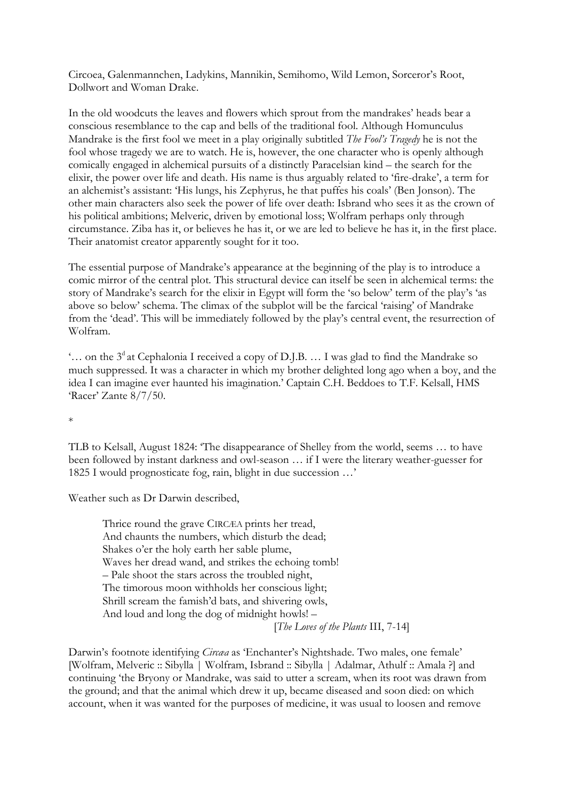Circoea, Galenmannchen, Ladykins, Mannikin, Semihomo, Wild Lemon, Sorceror's Root, Dollwort and Woman Drake.

In the old woodcuts the leaves and flowers which sprout from the mandrakes' heads bear a conscious resemblance to the cap and bells of the traditional fool. Although Homunculus Mandrake is the first fool we meet in a play originally subtitled *The Fool's Tragedy* he is not the fool whose tragedy we are to watch. He is, however, the one character who is openly although comically engaged in alchemical pursuits of a distinctly Paracelsian kind – the search for the elixir, the power over life and death. His name is thus arguably related to 'fire-drake', a term for an alchemist's assistant: 'His lungs, his Zephyrus, he that puffes his coals' (Ben Jonson). The other main characters also seek the power of life over death: Isbrand who sees it as the crown of his political ambitions; Melveric, driven by emotional loss; Wolfram perhaps only through circumstance. Ziba has it, or believes he has it, or we are led to believe he has it, in the first place. Their anatomist creator apparently sought for it too.

The essential purpose of Mandrake's appearance at the beginning of the play is to introduce a comic mirror of the central plot. This structural device can itself be seen in alchemical terms: the story of Mandrake's search for the elixir in Egypt will form the 'so below' term of the play's 'as above so below' schema. The climax of the subplot will be the farcical 'raising' of Mandrake from the 'dead'. This will be immediately followed by the play's central event, the resurrection of Wolfram.

 $\ldots$  on the  $3^d$  at Cephalonia I received a copy of D.J.B.  $\ldots$  I was glad to find the Mandrake so much suppressed. It was a character in which my brother delighted long ago when a boy, and the idea I can imagine ever haunted his imagination.' Captain C.H. Beddoes to T.F. Kelsall, HMS 'Racer' Zante 8/7/50.

\*

TLB to Kelsall, August 1824: 'The disappearance of Shelley from the world, seems … to have been followed by instant darkness and owl-season … if I were the literary weather-guesser for 1825 I would prognosticate fog, rain, blight in due succession …'

Weather such as Dr Darwin described,

Thrice round the grave CIRCÆA prints her tread, And chaunts the numbers, which disturb the dead; Shakes o'er the holy earth her sable plume, Waves her dread wand, and strikes the echoing tomb! – Pale shoot the stars across the troubled night, The timorous moon withholds her conscious light; Shrill scream the famish'd bats, and shivering owls, And loud and long the dog of midnight howls! – [*The Loves of the Plants* III, 7-14]

Darwin's footnote identifying *Circæa* as 'Enchanter's Nightshade. Two males, one female' [Wolfram, Melveric :: Sibylla | Wolfram, Isbrand :: Sibylla | Adalmar, Athulf :: Amala ?] and continuing 'the Bryony or Mandrake, was said to utter a scream, when its root was drawn from the ground; and that the animal which drew it up, became diseased and soon died: on which account, when it was wanted for the purposes of medicine, it was usual to loosen and remove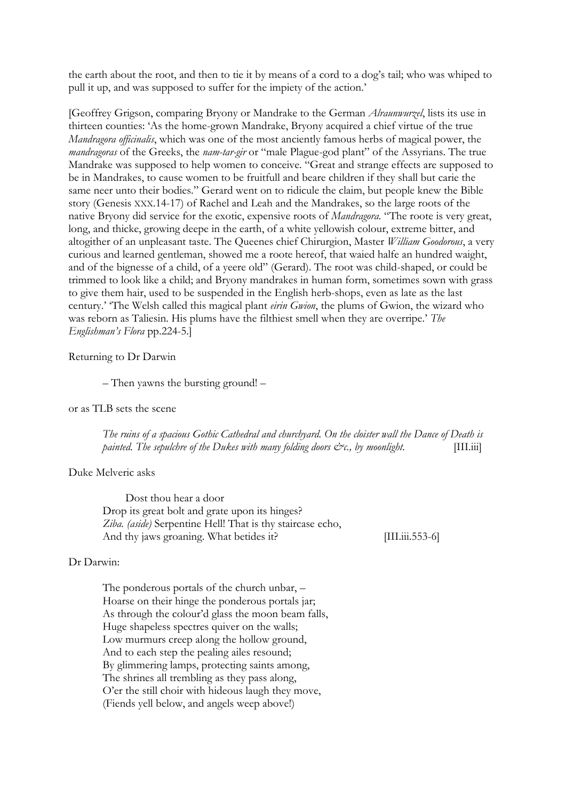the earth about the root, and then to tie it by means of a cord to a dog's tail; who was whiped to pull it up, and was supposed to suffer for the impiety of the action.'

[Geoffrey Grigson, comparing Bryony or Mandrake to the German *Alraunwurzel*, lists its use in thirteen counties: 'As the home-grown Mandrake, Bryony acquired a chief virtue of the true *Mandragora officinalis*, which was one of the most anciently famous herbs of magical power, the *mandragoras* of the Greeks, the *nam-tar-gir* or "male Plague-god plant" of the Assyrians. The true Mandrake was supposed to help women to conceive. "Great and strange effects are supposed to be in Mandrakes, to cause women to be fruitfull and beare children if they shall but carie the same neer unto their bodies." Gerard went on to ridicule the claim, but people knew the Bible story (Genesis XXX.14-17) of Rachel and Leah and the Mandrakes, so the large roots of the native Bryony did service for the exotic, expensive roots of *Mandragora.* "The roote is very great, long, and thicke, growing deepe in the earth, of a white yellowish colour, extreme bitter, and altogither of an unpleasant taste. The Queenes chief Chirurgion, Master *William Goodorous*, a very curious and learned gentleman, showed me a roote hereof, that waied halfe an hundred waight, and of the bignesse of a child, of a yeere old" (Gerard). The root was child-shaped, or could be trimmed to look like a child; and Bryony mandrakes in human form, sometimes sown with grass to give them hair, used to be suspended in the English herb-shops, even as late as the last century.' 'The Welsh called this magical plant *eirin Gwion*, the plums of Gwion, the wizard who was reborn as Taliesin. His plums have the filthiest smell when they are overripe.' *The Englishman's Flora* pp.224-5.]

### Returning to Dr Darwin

– Then yawns the bursting ground! –

### or as TLB sets the scene

*The ruins of a spacious Gothic Cathedral and churchyard. On the cloister wall the Dance of Death is painted. The sepulchre of the Dukes with many folding doors*  $\mathcal{O}c$ *, by moonlight.* [III.iii]

## Duke Melveric asks

 Dost thou hear a door Drop its great bolt and grate upon its hinges? *Ziba. (aside)* Serpentine Hell! That is thy staircase echo, And thy jaws groaning. What betides it? [III.iii.553-6]

### Dr Darwin:

The ponderous portals of the church unbar, – Hoarse on their hinge the ponderous portals jar; As through the colour'd glass the moon beam falls, Huge shapeless spectres quiver on the walls; Low murmurs creep along the hollow ground, And to each step the pealing ailes resound; By glimmering lamps, protecting saints among, The shrines all trembling as they pass along, O'er the still choir with hideous laugh they move, (Fiends yell below, and angels weep above!)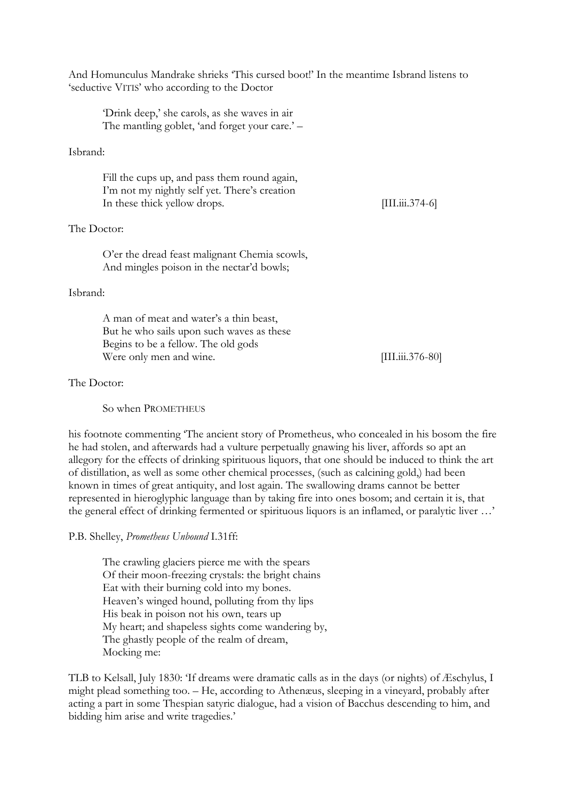And Homunculus Mandrake shrieks 'This cursed boot!' In the meantime Isbrand listens to 'seductive VITIS' who according to the Doctor

'Drink deep,' she carols, as she waves in air The mantling goblet, 'and forget your care.' –

## Isbrand:

Fill the cups up, and pass them round again, I'm not my nightly self yet. There's creation In these thick yellow drops. [III.iii.374-6]

### The Doctor:

O'er the dread feast malignant Chemia scowls, And mingles poison in the nectar'd bowls;

### Isbrand:

A man of meat and water's a thin beast, But he who sails upon such waves as these Begins to be a fellow. The old gods Were only men and wine. [III.iii.376-80]

## The Doctor:

So when PROMETHEUS

his footnote commenting 'The ancient story of Prometheus, who concealed in his bosom the fire he had stolen, and afterwards had a vulture perpetually gnawing his liver, affords so apt an allegory for the effects of drinking spirituous liquors, that one should be induced to think the art of distillation, as well as some other chemical processes, (such as calcining gold,) had been known in times of great antiquity, and lost again. The swallowing drams cannot be better represented in hieroglyphic language than by taking fire into ones bosom; and certain it is, that the general effect of drinking fermented or spirituous liquors is an inflamed, or paralytic liver …'

P.B. Shelley, *Prometheus Unbound* I.31ff:

The crawling glaciers pierce me with the spears Of their moon-freezing crystals: the bright chains Eat with their burning cold into my bones. Heaven's winged hound, polluting from thy lips His beak in poison not his own, tears up My heart; and shapeless sights come wandering by, The ghastly people of the realm of dream, Mocking me:

TLB to Kelsall, July 1830: 'If dreams were dramatic calls as in the days (or nights) of Æschylus, I might plead something too. – He, according to Athenæus, sleeping in a vineyard, probably after acting a part in some Thespian satyric dialogue, had a vision of Bacchus descending to him, and bidding him arise and write tragedies.'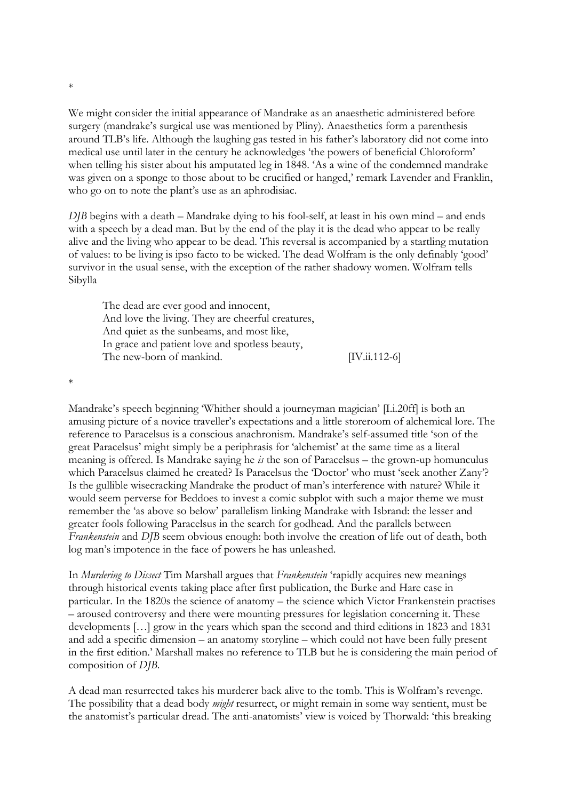We might consider the initial appearance of Mandrake as an anaesthetic administered before surgery (mandrake's surgical use was mentioned by Pliny). Anaesthetics form a parenthesis around TLB's life. Although the laughing gas tested in his father's laboratory did not come into medical use until later in the century he acknowledges 'the powers of beneficial Chloroform' when telling his sister about his amputated leg in 1848. 'As a wine of the condemned mandrake was given on a sponge to those about to be crucified or hanged,' remark Lavender and Franklin, who go on to note the plant's use as an aphrodisiac.

*DJB* begins with a death – Mandrake dying to his fool-self, at least in his own mind – and ends with a speech by a dead man. But by the end of the play it is the dead who appear to be really alive and the living who appear to be dead. This reversal is accompanied by a startling mutation of values: to be living is ipso facto to be wicked. The dead Wolfram is the only definably 'good' survivor in the usual sense, with the exception of the rather shadowy women. Wolfram tells Sibylla

The dead are ever good and innocent, And love the living. They are cheerful creatures, And quiet as the sunbeams, and most like, In grace and patient love and spotless beauty, The new-born of mankind. [IV.ii.112-6]

\*

Mandrake's speech beginning 'Whither should a journeyman magician' [I.i.20ff] is both an amusing picture of a novice traveller's expectations and a little storeroom of alchemical lore. The reference to Paracelsus is a conscious anachronism. Mandrake's self-assumed title 'son of the great Paracelsus' might simply be a periphrasis for 'alchemist' at the same time as a literal meaning is offered. Is Mandrake saying he *is* the son of Paracelsus – the grown-up homunculus which Paracelsus claimed he created? Is Paracelsus the 'Doctor' who must 'seek another Zany'? Is the gullible wisecracking Mandrake the product of man's interference with nature? While it would seem perverse for Beddoes to invest a comic subplot with such a major theme we must remember the 'as above so below' parallelism linking Mandrake with Isbrand: the lesser and greater fools following Paracelsus in the search for godhead. And the parallels between *Frankenstein* and *DJB* seem obvious enough: both involve the creation of life out of death, both log man's impotence in the face of powers he has unleashed.

In *Murdering to Dissect* Tim Marshall argues that *Frankenstein* 'rapidly acquires new meanings through historical events taking place after first publication, the Burke and Hare case in particular. In the 1820s the science of anatomy – the science which Victor Frankenstein practises – aroused controversy and there were mounting pressures for legislation concerning it. These developments […] grow in the years which span the second and third editions in 1823 and 1831 and add a specific dimension – an anatomy storyline – which could not have been fully present in the first edition.' Marshall makes no reference to TLB but he is considering the main period of composition of *DJB*.

A dead man resurrected takes his murderer back alive to the tomb. This is Wolfram's revenge. The possibility that a dead body *might* resurrect, or might remain in some way sentient, must be the anatomist's particular dread. The anti-anatomists' view is voiced by Thorwald: 'this breaking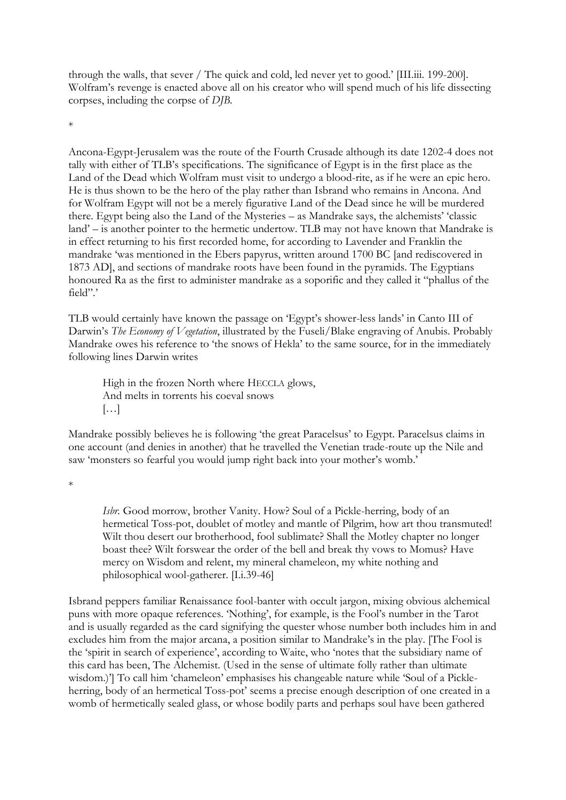through the walls, that sever / The quick and cold, led never yet to good.' [III.iii. 199-200]. Wolfram's revenge is enacted above all on his creator who will spend much of his life dissecting corpses, including the corpse of *DJB.*

\*

Ancona-Egypt-Jerusalem was the route of the Fourth Crusade although its date 1202-4 does not tally with either of TLB's specifications. The significance of Egypt is in the first place as the Land of the Dead which Wolfram must visit to undergo a blood-rite, as if he were an epic hero. He is thus shown to be the hero of the play rather than Isbrand who remains in Ancona. And for Wolfram Egypt will not be a merely figurative Land of the Dead since he will be murdered there. Egypt being also the Land of the Mysteries – as Mandrake says, the alchemists' 'classic land' – is another pointer to the hermetic undertow. TLB may not have known that Mandrake is in effect returning to his first recorded home, for according to Lavender and Franklin the mandrake 'was mentioned in the Ebers papyrus, written around 1700 BC [and rediscovered in 1873 AD], and sections of mandrake roots have been found in the pyramids. The Egyptians honoured Ra as the first to administer mandrake as a soporific and they called it "phallus of the field".'

TLB would certainly have known the passage on 'Egypt's shower-less lands' in Canto III of Darwin's *The Economy of Vegetation*, illustrated by the Fuseli/Blake engraving of Anubis. Probably Mandrake owes his reference to 'the snows of Hekla' to the same source, for in the immediately following lines Darwin writes

High in the frozen North where HECCLA glows, And melts in torrents his coeval snows […]

Mandrake possibly believes he is following 'the great Paracelsus' to Egypt. Paracelsus claims in one account (and denies in another) that he travelled the Venetian trade-route up the Nile and saw 'monsters so fearful you would jump right back into your mother's womb.'

\*

*Isbr.* Good morrow, brother Vanity. How? Soul of a Pickle-herring, body of an hermetical Toss-pot, doublet of motley and mantle of Pilgrim, how art thou transmuted! Wilt thou desert our brotherhood, fool sublimate? Shall the Motley chapter no longer boast thee? Wilt forswear the order of the bell and break thy vows to Momus? Have mercy on Wisdom and relent, my mineral chameleon, my white nothing and philosophical wool-gatherer. [I.i.39-46]

Isbrand peppers familiar Renaissance fool-banter with occult jargon, mixing obvious alchemical puns with more opaque references. 'Nothing', for example, is the Fool's number in the Tarot and is usually regarded as the card signifying the quester whose number both includes him in and excludes him from the major arcana, a position similar to Mandrake's in the play. [The Fool is the 'spirit in search of experience', according to Waite, who 'notes that the subsidiary name of this card has been, The Alchemist. (Used in the sense of ultimate folly rather than ultimate wisdom.)'] To call him 'chameleon' emphasises his changeable nature while 'Soul of a Pickleherring, body of an hermetical Toss-pot' seems a precise enough description of one created in a womb of hermetically sealed glass, or whose bodily parts and perhaps soul have been gathered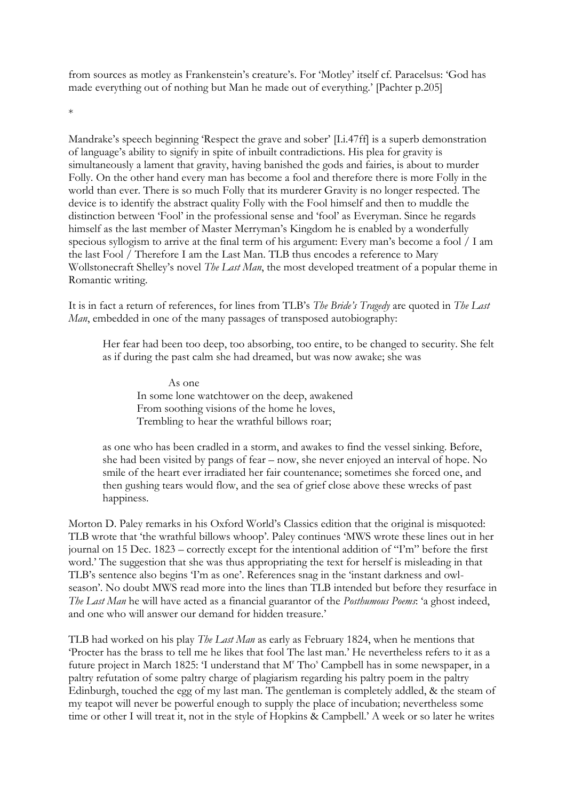from sources as motley as Frankenstein's creature's. For 'Motley' itself cf. Paracelsus: 'God has made everything out of nothing but Man he made out of everything.' [Pachter p.205]

\*

Mandrake's speech beginning 'Respect the grave and sober' [I.i.47ff] is a superb demonstration of language's ability to signify in spite of inbuilt contradictions. His plea for gravity is simultaneously a lament that gravity, having banished the gods and fairies, is about to murder Folly. On the other hand every man has become a fool and therefore there is more Folly in the world than ever. There is so much Folly that its murderer Gravity is no longer respected. The device is to identify the abstract quality Folly with the Fool himself and then to muddle the distinction between 'Fool' in the professional sense and 'fool' as Everyman. Since he regards himself as the last member of Master Merryman's Kingdom he is enabled by a wonderfully specious syllogism to arrive at the final term of his argument: Every man's become a fool / I am the last Fool / Therefore I am the Last Man. TLB thus encodes a reference to Mary Wollstonecraft Shelley's novel *The Last Man*, the most developed treatment of a popular theme in Romantic writing.

It is in fact a return of references, for lines from TLB's *The Bride's Tragedy* are quoted in *The Last Man*, embedded in one of the many passages of transposed autobiography:

Her fear had been too deep, too absorbing, too entire, to be changed to security. She felt as if during the past calm she had dreamed, but was now awake; she was

 As one In some lone watchtower on the deep, awakened From soothing visions of the home he loves, Trembling to hear the wrathful billows roar;

as one who has been cradled in a storm, and awakes to find the vessel sinking. Before, she had been visited by pangs of fear – now, she never enjoyed an interval of hope. No smile of the heart ever irradiated her fair countenance; sometimes she forced one, and then gushing tears would flow, and the sea of grief close above these wrecks of past happiness.

Morton D. Paley remarks in his Oxford World's Classics edition that the original is misquoted: TLB wrote that 'the wrathful billows whoop'. Paley continues 'MWS wrote these lines out in her journal on 15 Dec. 1823 – correctly except for the intentional addition of "I'm" before the first word.' The suggestion that she was thus appropriating the text for herself is misleading in that TLB's sentence also begins 'I'm as one'. References snag in the 'instant darkness and owlseason'. No doubt MWS read more into the lines than TLB intended but before they resurface in *The Last Man* he will have acted as a financial guarantor of the *Posthumous Poems*: 'a ghost indeed, and one who will answer our demand for hidden treasure.'

TLB had worked on his play *The Last Man* as early as February 1824, when he mentions that 'Procter has the brass to tell me he likes that fool The last man.' He nevertheless refers to it as a future project in March 1825: 'I understand that M' Tho<sup>s</sup> Campbell has in some newspaper, in a paltry refutation of some paltry charge of plagiarism regarding his paltry poem in the paltry Edinburgh, touched the egg of my last man. The gentleman is completely addled, & the steam of my teapot will never be powerful enough to supply the place of incubation; nevertheless some time or other I will treat it, not in the style of Hopkins & Campbell.' A week or so later he writes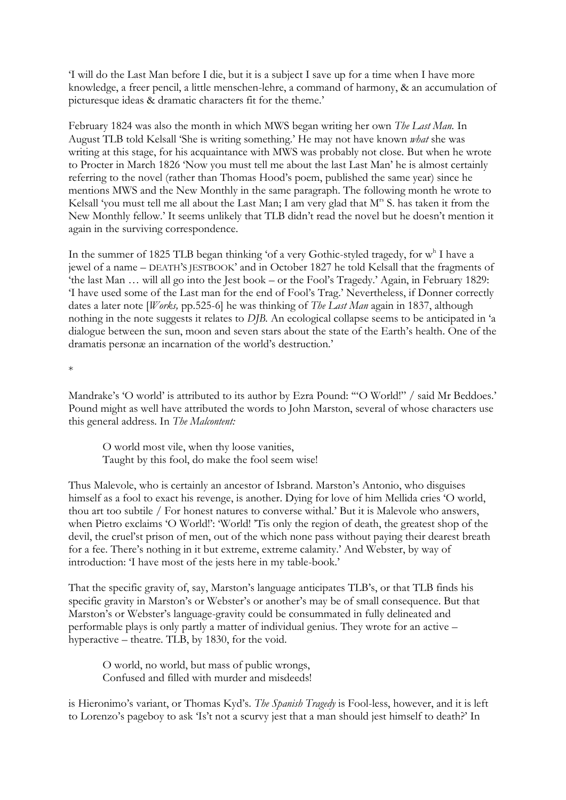'I will do the Last Man before I die, but it is a subject I save up for a time when I have more knowledge, a freer pencil, a little menschen-lehre, a command of harmony, & an accumulation of picturesque ideas & dramatic characters fit for the theme.'

February 1824 was also the month in which MWS began writing her own *The Last Man.* In August TLB told Kelsall 'She is writing something.' He may not have known *what* she was writing at this stage, for his acquaintance with MWS was probably not close. But when he wrote to Procter in March 1826 'Now you must tell me about the last Last Man' he is almost certainly referring to the novel (rather than Thomas Hood's poem, published the same year) since he mentions MWS and the New Monthly in the same paragraph. The following month he wrote to Kelsall 'you must tell me all about the Last Man; I am very glad that M<sup>rs</sup> S. has taken it from the New Monthly fellow.' It seems unlikely that TLB didn't read the novel but he doesn't mention it again in the surviving correspondence.

In the summer of 1825 TLB began thinking 'of a very Gothic-styled tragedy, for  $w<sup>h</sup>$  I have a jewel of a name – DEATH'S JESTBOOK' and in October 1827 he told Kelsall that the fragments of 'the last Man … will all go into the Jest book – or the Fool's Tragedy.' Again, in February 1829: 'I have used some of the Last man for the end of Fool's Trag.' Nevertheless, if Donner correctly dates a later note [*Works,* pp.525-6] he was thinking of *The Last Man* again in 1837, although nothing in the note suggests it relates to *DJB.* An ecological collapse seems to be anticipated in 'a dialogue between the sun, moon and seven stars about the state of the Earth's health. One of the dramatis personæ an incarnation of the world's destruction.'

\*

Mandrake's 'O world' is attributed to its author by Ezra Pound: '"O World!" / said Mr Beddoes.' Pound might as well have attributed the words to John Marston, several of whose characters use this general address. In *The Malcontent:*

O world most vile, when thy loose vanities, Taught by this fool, do make the fool seem wise!

Thus Malevole, who is certainly an ancestor of Isbrand. Marston's Antonio, who disguises himself as a fool to exact his revenge, is another. Dying for love of him Mellida cries 'O world, thou art too subtile / For honest natures to converse withal.' But it is Malevole who answers, when Pietro exclaims 'O World!': 'World! 'Tis only the region of death, the greatest shop of the devil, the cruel'st prison of men, out of the which none pass without paying their dearest breath for a fee. There's nothing in it but extreme, extreme calamity.' And Webster, by way of introduction: 'I have most of the jests here in my table-book.'

That the specific gravity of, say, Marston's language anticipates TLB's, or that TLB finds his specific gravity in Marston's or Webster's or another's may be of small consequence. But that Marston's or Webster's language-gravity could be consummated in fully delineated and performable plays is only partly a matter of individual genius. They wrote for an active – hyperactive – theatre. TLB, by 1830, for the void.

O world, no world, but mass of public wrongs, Confused and filled with murder and misdeeds!

is Hieronimo's variant, or Thomas Kyd's. *The Spanish Tragedy* is Fool-less, however, and it is left to Lorenzo's pageboy to ask 'Is't not a scurvy jest that a man should jest himself to death?' In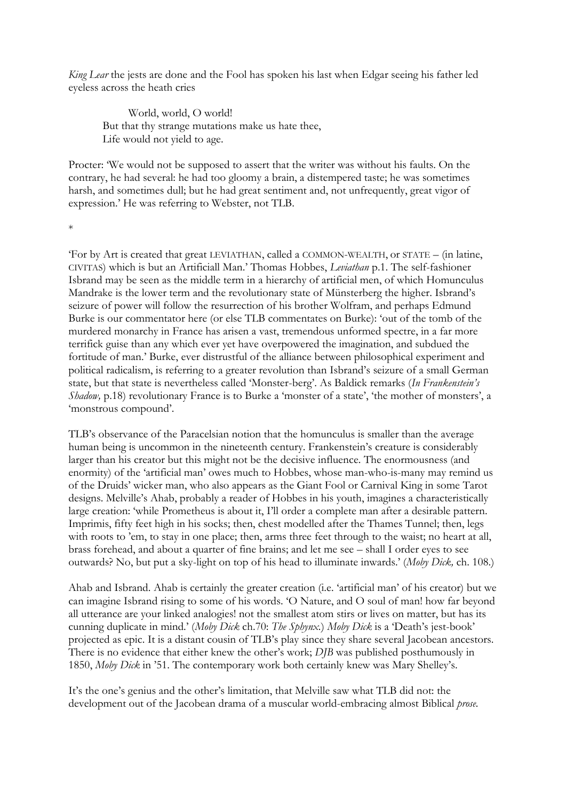*King Lear* the jests are done and the Fool has spoken his last when Edgar seeing his father led eyeless across the heath cries

 World, world, O world! But that thy strange mutations make us hate thee, Life would not yield to age.

Procter: 'We would not be supposed to assert that the writer was without his faults. On the contrary, he had several: he had too gloomy a brain, a distempered taste; he was sometimes harsh, and sometimes dull; but he had great sentiment and, not unfrequently, great vigor of expression.' He was referring to Webster, not TLB.

\*

'For by Art is created that great LEVIATHAN, called a COMMON-WEALTH, or STATE – (in latine, CIVITAS) which is but an Artificiall Man.' Thomas Hobbes, *Leviathan* p.1. The self-fashioner Isbrand may be seen as the middle term in a hierarchy of artificial men, of which Homunculus Mandrake is the lower term and the revolutionary state of Münsterberg the higher. Isbrand's seizure of power will follow the resurrection of his brother Wolfram, and perhaps Edmund Burke is our commentator here (or else TLB commentates on Burke): 'out of the tomb of the murdered monarchy in France has arisen a vast, tremendous unformed spectre, in a far more terrifick guise than any which ever yet have overpowered the imagination, and subdued the fortitude of man.' Burke, ever distrustful of the alliance between philosophical experiment and political radicalism, is referring to a greater revolution than Isbrand's seizure of a small German state, but that state is nevertheless called 'Monster-berg'. As Baldick remarks (*In Frankenstein's Shadow,* p.18) revolutionary France is to Burke a 'monster of a state', 'the mother of monsters', a 'monstrous compound'.

TLB's observance of the Paracelsian notion that the homunculus is smaller than the average human being is uncommon in the nineteenth century. Frankenstein's creature is considerably larger than his creator but this might not be the decisive influence. The enormousness (and enormity) of the 'artificial man' owes much to Hobbes, whose man-who-is-many may remind us of the Druids' wicker man, who also appears as the Giant Fool or Carnival King in some Tarot designs. Melville's Ahab, probably a reader of Hobbes in his youth, imagines a characteristically large creation: 'while Prometheus is about it, I'll order a complete man after a desirable pattern. Imprimis, fifty feet high in his socks; then, chest modelled after the Thames Tunnel; then, legs with roots to 'em, to stay in one place; then, arms three feet through to the waist; no heart at all, brass forehead, and about a quarter of fine brains; and let me see – shall I order eyes to see outwards? No, but put a sky-light on top of his head to illuminate inwards.' (*Moby Dick,* ch. 108.)

Ahab and Isbrand. Ahab is certainly the greater creation (i.e. 'artificial man' of his creator) but we can imagine Isbrand rising to some of his words. 'O Nature, and O soul of man! how far beyond all utterance are your linked analogies! not the smallest atom stirs or lives on matter, but has its cunning duplicate in mind.' (*Moby Dick* ch.70: *The Sphynx.*) *Moby Dick* is a 'Death's jest-book' projected as epic. It is a distant cousin of TLB's play since they share several Jacobean ancestors. There is no evidence that either knew the other's work; *DJB* was published posthumously in 1850, *Moby Dick* in '51. The contemporary work both certainly knew was Mary Shelley's.

It's the one's genius and the other's limitation, that Melville saw what TLB did not: the development out of the Jacobean drama of a muscular world-embracing almost Biblical *prose.*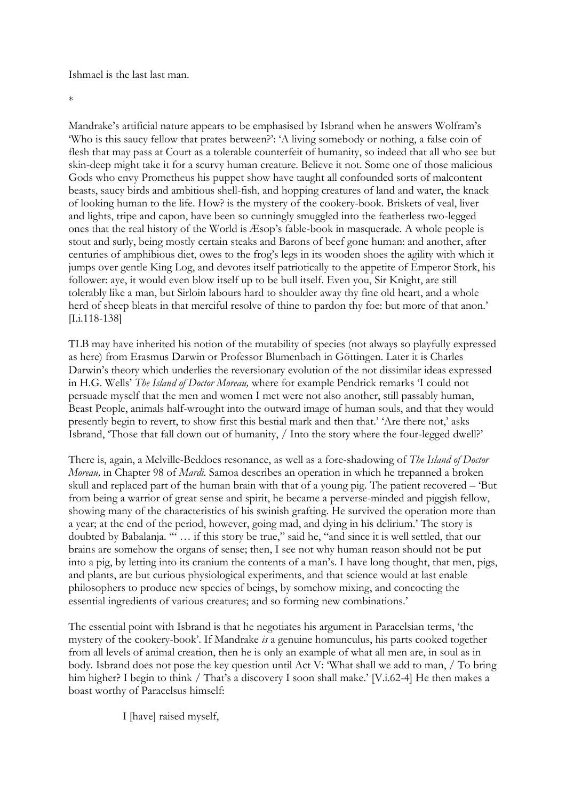Ishmael is the last last man.

\*

Mandrake's artificial nature appears to be emphasised by Isbrand when he answers Wolfram's 'Who is this saucy fellow that prates between?': 'A living somebody or nothing, a false coin of flesh that may pass at Court as a tolerable counterfeit of humanity, so indeed that all who see but skin-deep might take it for a scurvy human creature. Believe it not. Some one of those malicious Gods who envy Prometheus his puppet show have taught all confounded sorts of malcontent beasts, saucy birds and ambitious shell-fish, and hopping creatures of land and water, the knack of looking human to the life. How? is the mystery of the cookery-book. Briskets of veal, liver and lights, tripe and capon, have been so cunningly smuggled into the featherless two-legged ones that the real history of the World is Æsop's fable-book in masquerade. A whole people is stout and surly, being mostly certain steaks and Barons of beef gone human: and another, after centuries of amphibious diet, owes to the frog's legs in its wooden shoes the agility with which it jumps over gentle King Log, and devotes itself patriotically to the appetite of Emperor Stork, his follower: aye, it would even blow itself up to be bull itself. Even you, Sir Knight, are still tolerably like a man, but Sirloin labours hard to shoulder away thy fine old heart, and a whole herd of sheep bleats in that merciful resolve of thine to pardon thy foe: but more of that anon.' [I.i.118-138]

TLB may have inherited his notion of the mutability of species (not always so playfully expressed as here) from Erasmus Darwin or Professor Blumenbach in Göttingen. Later it is Charles Darwin's theory which underlies the reversionary evolution of the not dissimilar ideas expressed in H.G. Wells' *The Island of Doctor Moreau,* where for example Pendrick remarks 'I could not persuade myself that the men and women I met were not also another, still passably human, Beast People, animals half-wrought into the outward image of human souls, and that they would presently begin to revert, to show first this bestial mark and then that.' 'Are there not,' asks Isbrand, 'Those that fall down out of humanity, / Into the story where the four-legged dwell?'

There is, again, a Melville-Beddoes resonance, as well as a fore-shadowing of *The Island of Doctor Moreau,* in Chapter 98 of *Mardi.* Samoa describes an operation in which he trepanned a broken skull and replaced part of the human brain with that of a young pig. The patient recovered – 'But from being a warrior of great sense and spirit, he became a perverse-minded and piggish fellow, showing many of the characteristics of his swinish grafting. He survived the operation more than a year; at the end of the period, however, going mad, and dying in his delirium.' The story is doubted by Babalanja. '" … if this story be true," said he, "and since it is well settled, that our brains are somehow the organs of sense; then, I see not why human reason should not be put into a pig, by letting into its cranium the contents of a man's. I have long thought, that men, pigs, and plants, are but curious physiological experiments, and that science would at last enable philosophers to produce new species of beings, by somehow mixing, and concocting the essential ingredients of various creatures; and so forming new combinations.'

The essential point with Isbrand is that he negotiates his argument in Paracelsian terms, 'the mystery of the cookery-book'. If Mandrake *is* a genuine homunculus, his parts cooked together from all levels of animal creation, then he is only an example of what all men are, in soul as in body. Isbrand does not pose the key question until Act V: 'What shall we add to man, / To bring him higher? I begin to think / That's a discovery I soon shall make.' [V.i.62-4] He then makes a boast worthy of Paracelsus himself:

I [have] raised myself,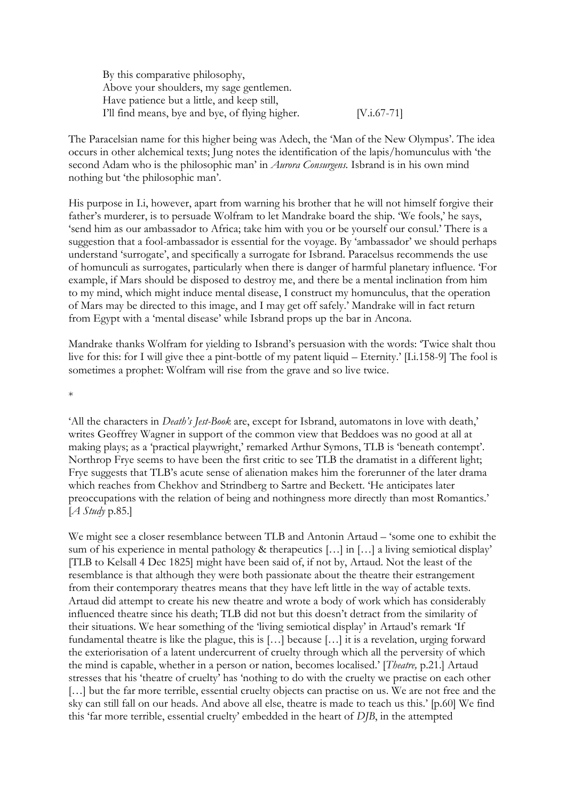By this comparative philosophy, Above your shoulders, my sage gentlemen. Have patience but a little, and keep still, I'll find means, bye and bye, of flying higher. [V.i.67-71]

The Paracelsian name for this higher being was Adech, the 'Man of the New Olympus'. The idea occurs in other alchemical texts; Jung notes the identification of the lapis/homunculus with 'the second Adam who is the philosophic man' in *Aurora Consurgens.* Isbrand is in his own mind nothing but 'the philosophic man'.

His purpose in I.i, however, apart from warning his brother that he will not himself forgive their father's murderer, is to persuade Wolfram to let Mandrake board the ship. 'We fools,' he says, 'send him as our ambassador to Africa; take him with you or be yourself our consul.' There is a suggestion that a fool-ambassador is essential for the voyage. By 'ambassador' we should perhaps understand 'surrogate', and specifically a surrogate for Isbrand. Paracelsus recommends the use of homunculi as surrogates, particularly when there is danger of harmful planetary influence. 'For example, if Mars should be disposed to destroy me, and there be a mental inclination from him to my mind, which might induce mental disease, I construct my homunculus, that the operation of Mars may be directed to this image, and I may get off safely.' Mandrake will in fact return from Egypt with a 'mental disease' while Isbrand props up the bar in Ancona.

Mandrake thanks Wolfram for yielding to Isbrand's persuasion with the words: 'Twice shalt thou live for this: for I will give thee a pint-bottle of my patent liquid – Eternity.' [I.i.158-9] The fool is sometimes a prophet: Wolfram will rise from the grave and so live twice.

\*

'All the characters in *Death's Jest-Book* are, except for Isbrand, automatons in love with death,' writes Geoffrey Wagner in support of the common view that Beddoes was no good at all at making plays; as a 'practical playwright,' remarked Arthur Symons, TLB is 'beneath contempt'. Northrop Frye seems to have been the first critic to see TLB the dramatist in a different light; Frye suggests that TLB's acute sense of alienation makes him the forerunner of the later drama which reaches from Chekhov and Strindberg to Sartre and Beckett. 'He anticipates later preoccupations with the relation of being and nothingness more directly than most Romantics.' [*A Study* p.85.]

We might see a closer resemblance between TLB and Antonin Artaud – 'some one to exhibit the sum of his experience in mental pathology & therapeutics […] in […] a living semiotical display' [TLB to Kelsall 4 Dec 1825] might have been said of, if not by, Artaud. Not the least of the resemblance is that although they were both passionate about the theatre their estrangement from their contemporary theatres means that they have left little in the way of actable texts. Artaud did attempt to create his new theatre and wrote a body of work which has considerably influenced theatre since his death; TLB did not but this doesn't detract from the similarity of their situations. We hear something of the 'living semiotical display' in Artaud's remark 'If fundamental theatre is like the plague, this is […] because […] it is a revelation, urging forward the exteriorisation of a latent undercurrent of cruelty through which all the perversity of which the mind is capable, whether in a person or nation, becomes localised.' [*Theatre,* p.21.] Artaud stresses that his 'theatre of cruelty' has 'nothing to do with the cruelty we practise on each other [...] but the far more terrible, essential cruelty objects can practise on us. We are not free and the sky can still fall on our heads. And above all else, theatre is made to teach us this.' [p.60] We find this 'far more terrible, essential cruelty' embedded in the heart of *DJB*, in the attempted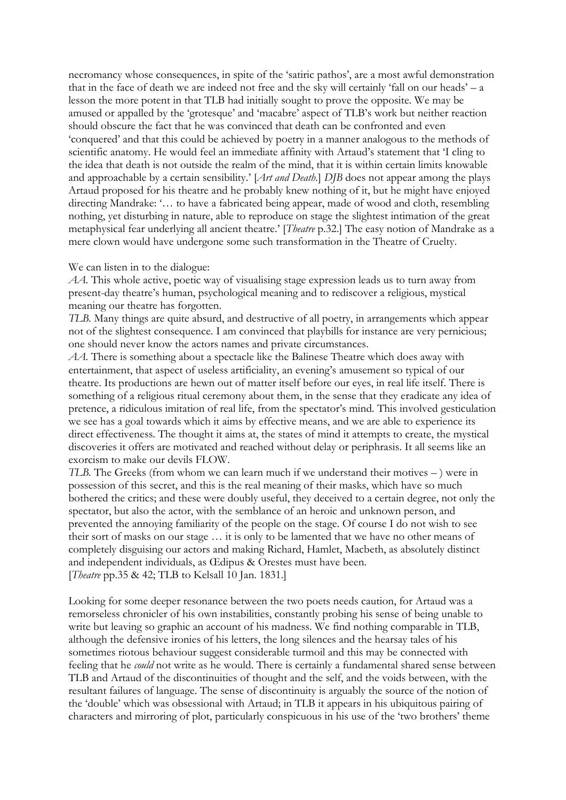necromancy whose consequences, in spite of the 'satiric pathos', are a most awful demonstration that in the face of death we are indeed not free and the sky will certainly 'fall on our heads' – a lesson the more potent in that TLB had initially sought to prove the opposite. We may be amused or appalled by the 'grotesque' and 'macabre' aspect of TLB's work but neither reaction should obscure the fact that he was convinced that death can be confronted and even 'conquered' and that this could be achieved by poetry in a manner analogous to the methods of scientific anatomy. He would feel an immediate affinity with Artaud's statement that 'I cling to the idea that death is not outside the realm of the mind, that it is within certain limits knowable and approachable by a certain sensibility.' [*Art and Death.*] *DJB* does not appear among the plays Artaud proposed for his theatre and he probably knew nothing of it, but he might have enjoyed directing Mandrake: '… to have a fabricated being appear, made of wood and cloth, resembling nothing, yet disturbing in nature, able to reproduce on stage the slightest intimation of the great metaphysical fear underlying all ancient theatre.' [*Theatre* p.32.] The easy notion of Mandrake as a mere clown would have undergone some such transformation in the Theatre of Cruelty.

## We can listen in to the dialogue:

*AA.* This whole active, poetic way of visualising stage expression leads us to turn away from present-day theatre's human, psychological meaning and to rediscover a religious, mystical meaning our theatre has forgotten.

*TLB.* Many things are quite absurd, and destructive of all poetry, in arrangements which appear not of the slightest consequence. I am convinced that playbills for instance are very pernicious; one should never know the actors names and private circumstances.

*AA.* There is something about a spectacle like the Balinese Theatre which does away with entertainment, that aspect of useless artificiality, an evening's amusement so typical of our theatre. Its productions are hewn out of matter itself before our eyes, in real life itself. There is something of a religious ritual ceremony about them, in the sense that they eradicate any idea of pretence, a ridiculous imitation of real life, from the spectator's mind. This involved gesticulation we see has a goal towards which it aims by effective means, and we are able to experience its direct effectiveness. The thought it aims at, the states of mind it attempts to create, the mystical discoveries it offers are motivated and reached without delay or periphrasis. It all seems like an exorcism to make our devils FLOW.

*TLB.* The Greeks (from whom we can learn much if we understand their motives – ) were in possession of this secret, and this is the real meaning of their masks, which have so much bothered the critics; and these were doubly useful, they deceived to a certain degree, not only the spectator, but also the actor, with the semblance of an heroic and unknown person, and prevented the annoying familiarity of the people on the stage. Of course I do not wish to see their sort of masks on our stage … it is only to be lamented that we have no other means of completely disguising our actors and making Richard, Hamlet, Macbeth, as absolutely distinct and independent individuals, as Œdipus & Orestes must have been. [*Theatre* pp.35 & 42; TLB to Kelsall 10 Jan. 1831.]

Looking for some deeper resonance between the two poets needs caution, for Artaud was a remorseless chronicler of his own instabilities, constantly probing his sense of being unable to write but leaving so graphic an account of his madness. We find nothing comparable in TLB, although the defensive ironies of his letters, the long silences and the hearsay tales of his sometimes riotous behaviour suggest considerable turmoil and this may be connected with feeling that he *could* not write as he would. There is certainly a fundamental shared sense between TLB and Artaud of the discontinuities of thought and the self, and the voids between, with the resultant failures of language. The sense of discontinuity is arguably the source of the notion of the 'double' which was obsessional with Artaud; in TLB it appears in his ubiquitous pairing of characters and mirroring of plot, particularly conspicuous in his use of the 'two brothers' theme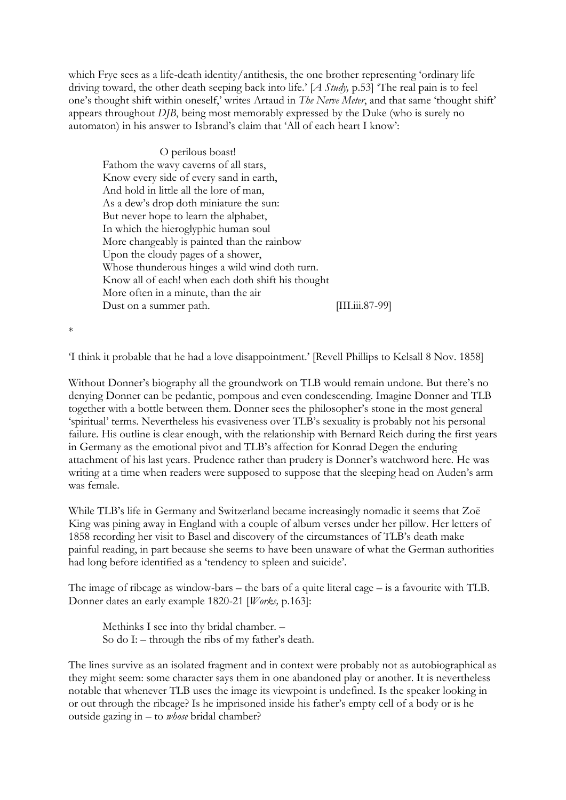which Frye sees as a life-death identity/antithesis, the one brother representing 'ordinary life driving toward, the other death seeping back into life.' [*A Study,* p.53] 'The real pain is to feel one's thought shift within oneself,' writes Artaud in *The Nerve Meter*, and that same 'thought shift' appears throughout *DJB*, being most memorably expressed by the Duke (who is surely no automaton) in his answer to Isbrand's claim that 'All of each heart I know':

 O perilous boast! Fathom the wavy caverns of all stars, Know every side of every sand in earth, And hold in little all the lore of man, As a dew's drop doth miniature the sun: But never hope to learn the alphabet, In which the hieroglyphic human soul More changeably is painted than the rainbow Upon the cloudy pages of a shower, Whose thunderous hinges a wild wind doth turn. Know all of each! when each doth shift his thought More often in a minute, than the air Dust on a summer path. [III.iii.87-99]

\*

'I think it probable that he had a love disappointment.' [Revell Phillips to Kelsall 8 Nov. 1858]

Without Donner's biography all the groundwork on TLB would remain undone. But there's no denying Donner can be pedantic, pompous and even condescending. Imagine Donner and TLB together with a bottle between them. Donner sees the philosopher's stone in the most general 'spiritual' terms. Nevertheless his evasiveness over TLB's sexuality is probably not his personal failure. His outline is clear enough, with the relationship with Bernard Reich during the first years in Germany as the emotional pivot and TLB's affection for Konrad Degen the enduring attachment of his last years. Prudence rather than prudery is Donner's watchword here. He was writing at a time when readers were supposed to suppose that the sleeping head on Auden's arm was female.

While TLB's life in Germany and Switzerland became increasingly nomadic it seems that Zoë King was pining away in England with a couple of album verses under her pillow. Her letters of 1858 recording her visit to Basel and discovery of the circumstances of TLB's death make painful reading, in part because she seems to have been unaware of what the German authorities had long before identified as a 'tendency to spleen and suicide'.

The image of ribcage as window-bars – the bars of a quite literal cage – is a favourite with TLB. Donner dates an early example 1820-21 [*Works,* p.163]:

Methinks I see into thy bridal chamber. – So do I: – through the ribs of my father's death.

The lines survive as an isolated fragment and in context were probably not as autobiographical as they might seem: some character says them in one abandoned play or another. It is nevertheless notable that whenever TLB uses the image its viewpoint is undefined. Is the speaker looking in or out through the ribcage? Is he imprisoned inside his father's empty cell of a body or is he outside gazing in – to *whose* bridal chamber?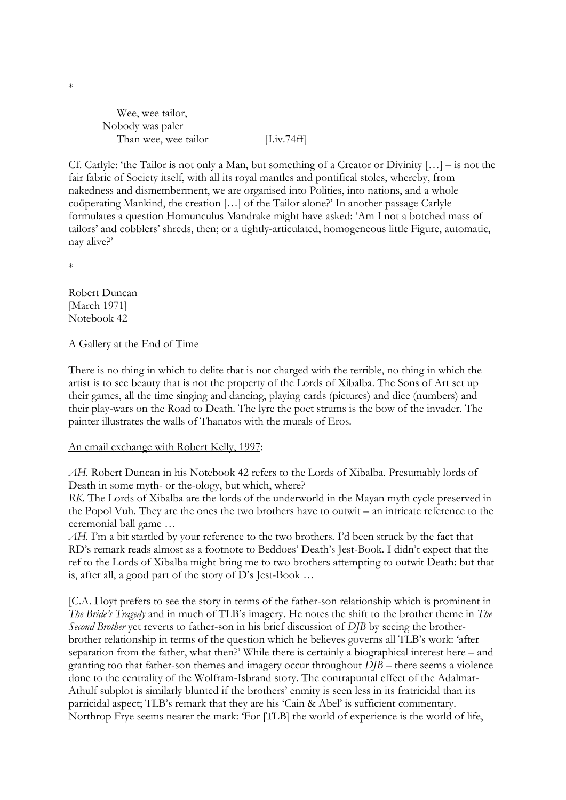| Wee, wee tailor,     |             |
|----------------------|-------------|
| Nobody was paler     |             |
| Than wee, wee tailor | [I.iv.74ff] |

Cf. Carlyle: 'the Tailor is not only a Man, but something of a Creator or Divinity  $[\ldots]$  – is not the fair fabric of Society itself, with all its royal mantles and pontifical stoles, whereby, from nakedness and dismemberment, we are organised into Polities, into nations, and a whole coöperating Mankind, the creation […] of the Tailor alone?' In another passage Carlyle formulates a question Homunculus Mandrake might have asked: 'Am I not a botched mass of tailors' and cobblers' shreds, then; or a tightly-articulated, homogeneous little Figure, automatic, nay alive?'

\*

\*

Robert Duncan [March 1971] Notebook 42

A Gallery at the End of Time

There is no thing in which to delite that is not charged with the terrible, no thing in which the artist is to see beauty that is not the property of the Lords of Xibalba. The Sons of Art set up their games, all the time singing and dancing, playing cards (pictures) and dice (numbers) and their play-wars on the Road to Death. The lyre the poet strums is the bow of the invader. The painter illustrates the walls of Thanatos with the murals of Eros.

## An email exchange with Robert Kelly, 1997:

*AH.* Robert Duncan in his Notebook 42 refers to the Lords of Xibalba. Presumably lords of Death in some myth- or the-ology, but which, where?

*RK.* The Lords of Xibalba are the lords of the underworld in the Mayan myth cycle preserved in the Popol Vuh. They are the ones the two brothers have to outwit – an intricate reference to the ceremonial ball game …

*AH.* I'm a bit startled by your reference to the two brothers. I'd been struck by the fact that RD's remark reads almost as a footnote to Beddoes' Death's Jest-Book. I didn't expect that the ref to the Lords of Xibalba might bring me to two brothers attempting to outwit Death: but that is, after all, a good part of the story of D's Jest-Book …

[C.A. Hoyt prefers to see the story in terms of the father-son relationship which is prominent in *The Bride's Tragedy* and in much of TLB's imagery. He notes the shift to the brother theme in *The Second Brother* yet reverts to father-son in his brief discussion of *DJB* by seeing the brotherbrother relationship in terms of the question which he believes governs all TLB's work: 'after separation from the father, what then?' While there is certainly a biographical interest here – and granting too that father-son themes and imagery occur throughout *DJB* – there seems a violence done to the centrality of the Wolfram-Isbrand story. The contrapuntal effect of the Adalmar-Athulf subplot is similarly blunted if the brothers' enmity is seen less in its fratricidal than its parricidal aspect; TLB's remark that they are his 'Cain & Abel' is sufficient commentary. Northrop Frye seems nearer the mark: 'For [TLB] the world of experience is the world of life,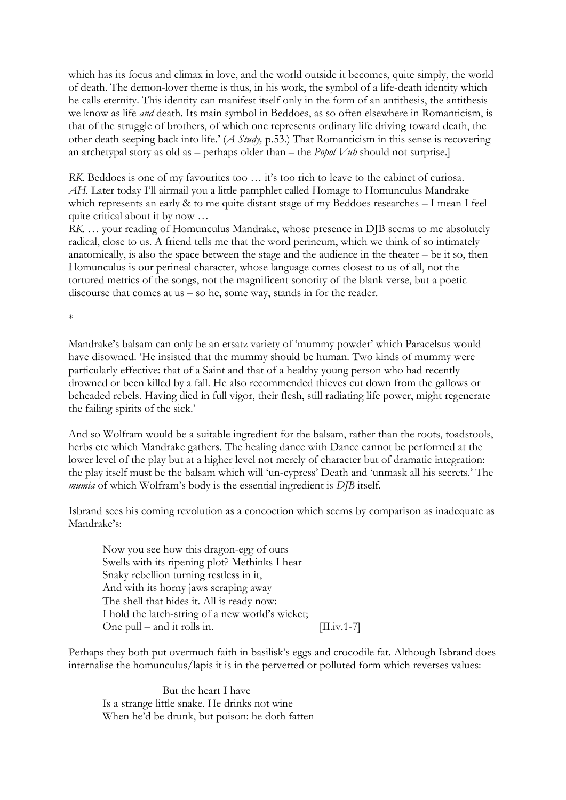which has its focus and climax in love, and the world outside it becomes, quite simply, the world of death. The demon-lover theme is thus, in his work, the symbol of a life-death identity which he calls eternity. This identity can manifest itself only in the form of an antithesis, the antithesis we know as life *and* death. Its main symbol in Beddoes, as so often elsewhere in Romanticism, is that of the struggle of brothers, of which one represents ordinary life driving toward death, the other death seeping back into life.' (*A Study,* p.53.) That Romanticism in this sense is recovering an archetypal story as old as – perhaps older than – the *Popol Vuh* should not surprise.]

*RK.* Beddoes is one of my favourites too ... it's too rich to leave to the cabinet of curiosa. AH. Later today I'll airmail you a little pamphlet called Homage to Homunculus Mandrake which represents an early  $\&$  to me quite distant stage of my Beddoes researches – I mean I feel quite critical about it by now …

*RK.* ... your reading of Homunculus Mandrake, whose presence in DJB seems to me absolutely radical, close to us. A friend tells me that the word perineum, which we think of so intimately anatomically, is also the space between the stage and the audience in the theater – be it so, then Homunculus is our perineal character, whose language comes closest to us of all, not the tortured metrics of the songs, not the magnificent sonority of the blank verse, but a poetic discourse that comes at us – so he, some way, stands in for the reader.

\*

Mandrake's balsam can only be an ersatz variety of 'mummy powder' which Paracelsus would have disowned. 'He insisted that the mummy should be human. Two kinds of mummy were particularly effective: that of a Saint and that of a healthy young person who had recently drowned or been killed by a fall. He also recommended thieves cut down from the gallows or beheaded rebels. Having died in full vigor, their flesh, still radiating life power, might regenerate the failing spirits of the sick.'

And so Wolfram would be a suitable ingredient for the balsam, rather than the roots, toadstools, herbs etc which Mandrake gathers. The healing dance with Dance cannot be performed at the lower level of the play but at a higher level not merely of character but of dramatic integration: the play itself must be the balsam which will 'un-cypress' Death and 'unmask all his secrets.' The *mumia* of which Wolfram's body is the essential ingredient is *DJB* itself.

Isbrand sees his coming revolution as a concoction which seems by comparison as inadequate as Mandrake's:

Now you see how this dragon-egg of ours Swells with its ripening plot? Methinks I hear Snaky rebellion turning restless in it, And with its horny jaws scraping away The shell that hides it. All is ready now: I hold the latch-string of a new world's wicket; One pull – and it rolls in.  $[II.iv.1-7]$ 

Perhaps they both put overmuch faith in basilisk's eggs and crocodile fat. Although Isbrand does internalise the homunculus/lapis it is in the perverted or polluted form which reverses values:

 But the heart I have Is a strange little snake. He drinks not wine When he'd be drunk, but poison: he doth fatten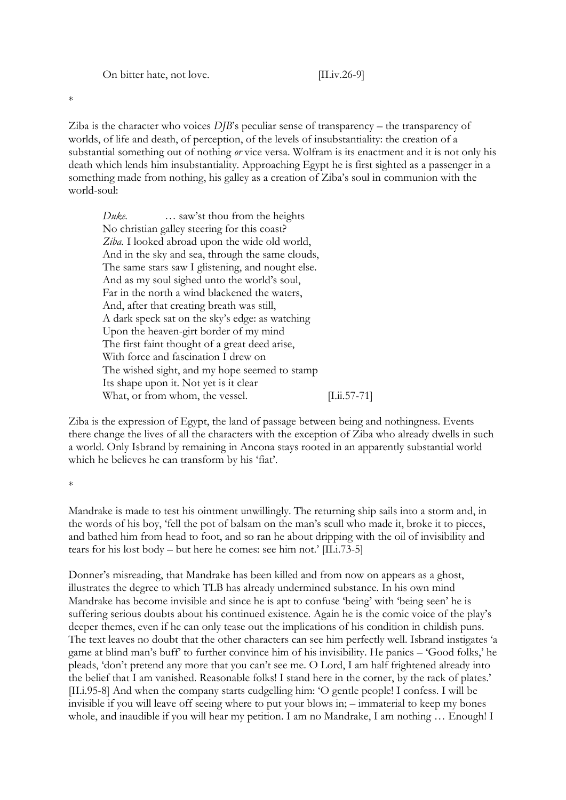On bitter hate, not love. [II.iv.26-9]

\*

Ziba is the character who voices *DJB*'s peculiar sense of transparency – the transparency of worlds, of life and death, of perception, of the levels of insubstantiality: the creation of a substantial something out of nothing *or* vice versa. Wolfram is its enactment and it is not only his death which lends him insubstantiality. Approaching Egypt he is first sighted as a passenger in a something made from nothing, his galley as a creation of Ziba's soul in communion with the world-soul:

*Duke.* … saw'st thou from the heights No christian galley steering for this coast? *Ziba.* I looked abroad upon the wide old world, And in the sky and sea, through the same clouds, The same stars saw I glistening, and nought else. And as my soul sighed unto the world's soul, Far in the north a wind blackened the waters, And, after that creating breath was still, A dark speck sat on the sky's edge: as watching Upon the heaven-girt border of my mind The first faint thought of a great deed arise, With force and fascination I drew on The wished sight, and my hope seemed to stamp Its shape upon it. Not yet is it clear What, or from whom, the vessel. [I.ii.57-71]

Ziba is the expression of Egypt, the land of passage between being and nothingness. Events there change the lives of all the characters with the exception of Ziba who already dwells in such a world. Only Isbrand by remaining in Ancona stays rooted in an apparently substantial world which he believes he can transform by his 'fiat'.

\*

Mandrake is made to test his ointment unwillingly. The returning ship sails into a storm and, in the words of his boy, 'fell the pot of balsam on the man's scull who made it, broke it to pieces, and bathed him from head to foot, and so ran he about dripping with the oil of invisibility and tears for his lost body – but here he comes: see him not.' [II.i.73-5]

Donner's misreading, that Mandrake has been killed and from now on appears as a ghost, illustrates the degree to which TLB has already undermined substance. In his own mind Mandrake has become invisible and since he is apt to confuse 'being' with 'being seen' he is suffering serious doubts about his continued existence. Again he is the comic voice of the play's deeper themes, even if he can only tease out the implications of his condition in childish puns. The text leaves no doubt that the other characters can see him perfectly well. Isbrand instigates 'a game at blind man's buff' to further convince him of his invisibility. He panics – 'Good folks,' he pleads, 'don't pretend any more that you can't see me. O Lord, I am half frightened already into the belief that I am vanished. Reasonable folks! I stand here in the corner, by the rack of plates.' [II.i.95-8] And when the company starts cudgelling him: 'O gentle people! I confess. I will be invisible if you will leave off seeing where to put your blows in; – immaterial to keep my bones whole, and inaudible if you will hear my petition. I am no Mandrake, I am nothing … Enough! I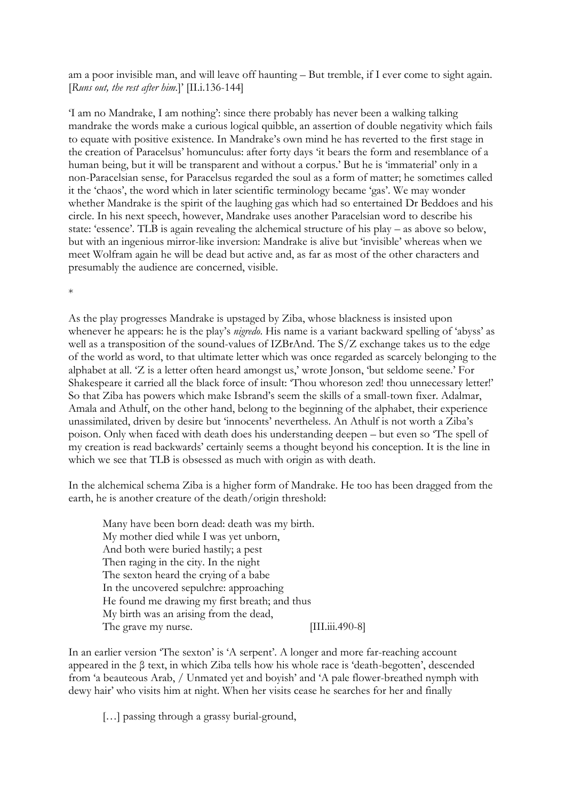am a poor invisible man, and will leave off haunting – But tremble, if I ever come to sight again. [*Runs out, the rest after him.*]' [II.i.136-144]

'I am no Mandrake, I am nothing': since there probably has never been a walking talking mandrake the words make a curious logical quibble, an assertion of double negativity which fails to equate with positive existence. In Mandrake's own mind he has reverted to the first stage in the creation of Paracelsus' homunculus: after forty days 'it bears the form and resemblance of a human being, but it will be transparent and without a corpus.' But he is 'immaterial' only in a non-Paracelsian sense, for Paracelsus regarded the soul as a form of matter; he sometimes called it the 'chaos', the word which in later scientific terminology became 'gas'. We may wonder whether Mandrake is the spirit of the laughing gas which had so entertained Dr Beddoes and his circle. In his next speech, however, Mandrake uses another Paracelsian word to describe his state: 'essence'. TLB is again revealing the alchemical structure of his play – as above so below, but with an ingenious mirror-like inversion: Mandrake is alive but 'invisible' whereas when we meet Wolfram again he will be dead but active and, as far as most of the other characters and presumably the audience are concerned, visible.

\*

As the play progresses Mandrake is upstaged by Ziba, whose blackness is insisted upon whenever he appears: he is the play's *nigredo*. His name is a variant backward spelling of 'abyss' as well as a transposition of the sound-values of IZBrAnd. The S/Z exchange takes us to the edge of the world as word, to that ultimate letter which was once regarded as scarcely belonging to the alphabet at all. 'Z is a letter often heard amongst us,' wrote Jonson, 'but seldome seene.' For Shakespeare it carried all the black force of insult: 'Thou whoreson zed! thou unnecessary letter!' So that Ziba has powers which make Isbrand's seem the skills of a small-town fixer. Adalmar, Amala and Athulf, on the other hand, belong to the beginning of the alphabet, their experience unassimilated, driven by desire but 'innocents' nevertheless. An Athulf is not worth a Ziba's poison. Only when faced with death does his understanding deepen – but even so 'The spell of my creation is read backwards' certainly seems a thought beyond his conception. It is the line in which we see that TLB is obsessed as much with origin as with death.

In the alchemical schema Ziba is a higher form of Mandrake. He too has been dragged from the earth, he is another creature of the death/origin threshold:

Many have been born dead: death was my birth. My mother died while I was yet unborn, And both were buried hastily; a pest Then raging in the city. In the night The sexton heard the crying of a babe In the uncovered sepulchre: approaching He found me drawing my first breath; and thus My birth was an arising from the dead, The grave my nurse. [III.iii.490-8]

In an earlier version 'The sexton' is 'A serpent'. A longer and more far-reaching account appeared in the β text, in which Ziba tells how his whole race is 'death-begotten', descended from 'a beauteous Arab, / Unmated yet and boyish' and 'A pale flower-breathed nymph with dewy hair' who visits him at night. When her visits cease he searches for her and finally

[...] passing through a grassy burial-ground,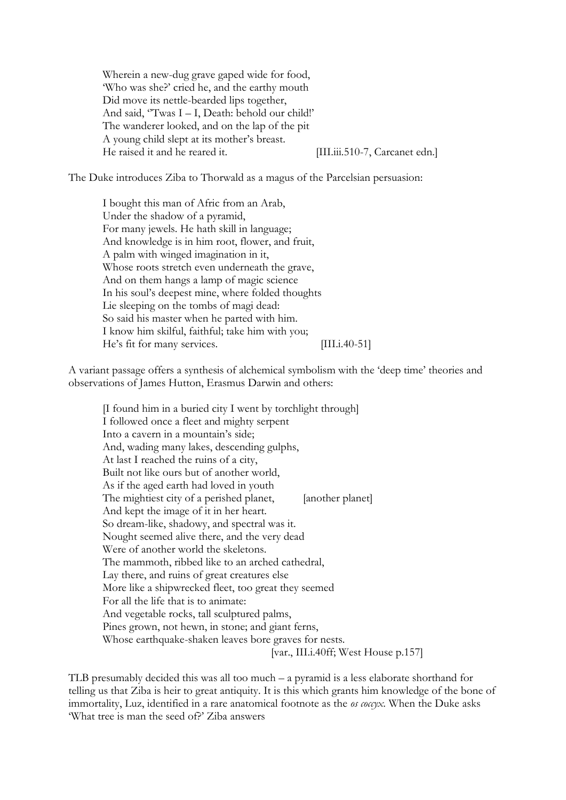Wherein a new-dug grave gaped wide for food, 'Who was she?' cried he, and the earthy mouth Did move its nettle-bearded lips together, And said, "Twas I – I, Death: behold our child!" The wanderer looked, and on the lap of the pit A young child slept at its mother's breast. He raised it and he reared it. [III.iii.510-7, Carcanet edn.]

The Duke introduces Ziba to Thorwald as a magus of the Parcelsian persuasion:

I bought this man of Afric from an Arab, Under the shadow of a pyramid, For many jewels. He hath skill in language; And knowledge is in him root, flower, and fruit, A palm with winged imagination in it, Whose roots stretch even underneath the grave, And on them hangs a lamp of magic science In his soul's deepest mine, where folded thoughts Lie sleeping on the tombs of magi dead: So said his master when he parted with him. I know him skilful, faithful; take him with you; He's fit for many services. [III.i.40-51]

A variant passage offers a synthesis of alchemical symbolism with the 'deep time' theories and observations of James Hutton, Erasmus Darwin and others:

[I found him in a buried city I went by torchlight through] I followed once a fleet and mighty serpent Into a cavern in a mountain's side; And, wading many lakes, descending gulphs, At last I reached the ruins of a city, Built not like ours but of another world, As if the aged earth had loved in youth The mightiest city of a perished planet, [another planet] And kept the image of it in her heart. So dream-like, shadowy, and spectral was it. Nought seemed alive there, and the very dead Were of another world the skeletons. The mammoth, ribbed like to an arched cathedral, Lay there, and ruins of great creatures else More like a shipwrecked fleet, too great they seemed For all the life that is to animate: And vegetable rocks, tall sculptured palms, Pines grown, not hewn, in stone; and giant ferns, Whose earthquake-shaken leaves bore graves for nests. [var., III.i.40ff; West House p.157]

TLB presumably decided this was all too much – a pyramid is a less elaborate shorthand for telling us that Ziba is heir to great antiquity. It is this which grants him knowledge of the bone of immortality, Luz, identified in a rare anatomical footnote as the *os coccyx*. When the Duke asks 'What tree is man the seed of?' Ziba answers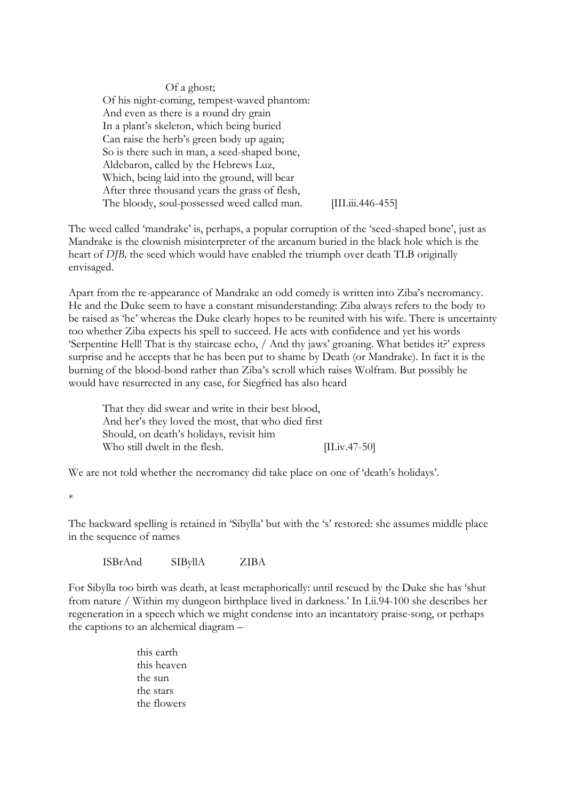Of a ghost;

Of his night-coming, tempest-waved phantom: And even as there is a round dry grain In a plant's skeleton, which being buried Can raise the herb's green body up again; So is there such in man, a seed-shaped bone, Aldebaron, called by the Hebrews Luz, Which, being laid into the ground, will bear After three thousand years the grass of flesh, The bloody, soul-possessed weed called man. [III.iii.446-455]

The weed called 'mandrake' is, perhaps, a popular corruption of the 'seed-shaped bone', just as Mandrake is the clownish misinterpreter of the arcanum buried in the black hole which is the heart of *DJB,* the seed which would have enabled the triumph over death TLB originally envisaged.

Apart from the re-appearance of Mandrake an odd comedy is written into Ziba's necromancy. He and the Duke seem to have a constant misunderstanding: Ziba always refers to the body to be raised as 'he' whereas the Duke clearly hopes to be reunited with his wife. There is uncertainty too whether Ziba expects his spell to succeed. He acts with confidence and yet his words 'Serpentine Hell! That is thy staircase echo, / And thy jaws' groaning. What betides it?' express surprise and he accepts that he has been put to shame by Death (or Mandrake). In fact it is the burning of the blood-bond rather than Ziba's scroll which raises Wolfram. But possibly he would have resurrected in any case, for Siegfried has also heard

That they did swear and write in their best blood, And her's they loved the most, that who died first Should, on death's holidays, revisit him Who still dwelt in the flesh. [II.iv.47-50]

We are not told whether the necromancy did take place on one of 'death's holidays'.

\*

The backward spelling is retained in 'Sibylla' but with the 's' restored: she assumes middle place in the sequence of names

ISBrAnd SIByllA ZIBA

For Sibylla too birth was death, at least metaphorically: until rescued by the Duke she has 'shut from nature / Within my dungeon birthplace lived in darkness.' In I.ii.94-100 she describes her regeneration in a speech which we might condense into an incantatory praise-song, or perhaps the captions to an alchemical diagram –

> this earth this heaven the sun the stars the flowers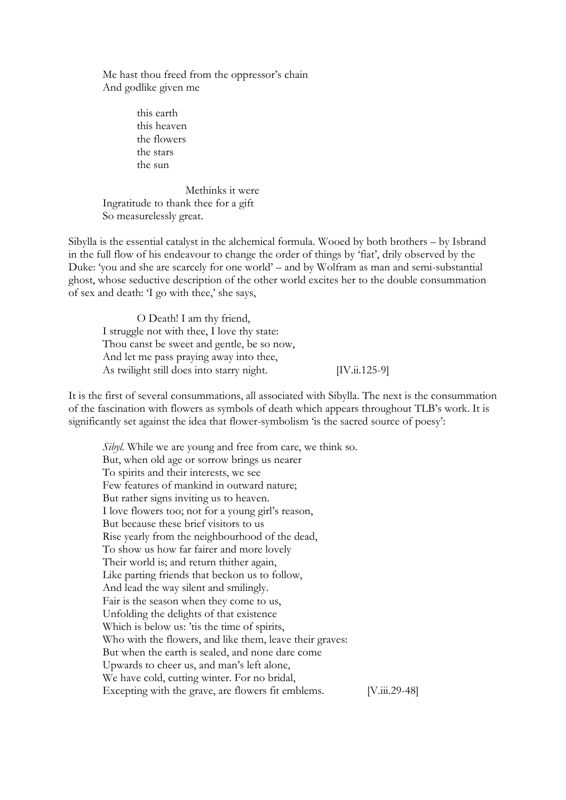Me hast thou freed from the oppressor's chain And godlike given me

> this earth this heaven the flowers the stars the sun

 Methinks it were Ingratitude to thank thee for a gift So measurelessly great.

Sibylla is the essential catalyst in the alchemical formula. Wooed by both brothers – by Isbrand in the full flow of his endeavour to change the order of things by 'fiat', drily observed by the Duke: 'you and she are scarcely for one world' – and by Wolfram as man and semi-substantial ghost, whose seductive description of the other world excites her to the double consummation of sex and death: 'I go with thee,' she says,

 O Death! I am thy friend, I struggle not with thee, I love thy state: Thou canst be sweet and gentle, be so now, And let me pass praying away into thee, As twilight still does into starry night. [IV.ii.125-9]

It is the first of several consummations, all associated with Sibylla. The next is the consummation of the fascination with flowers as symbols of death which appears throughout TLB's work. It is significantly set against the idea that flower-symbolism 'is the sacred source of poesy':

*Sibyl.* While we are young and free from care, we think so. But, when old age or sorrow brings us nearer To spirits and their interests, we see Few features of mankind in outward nature; But rather signs inviting us to heaven. I love flowers too; not for a young girl's reason, But because these brief visitors to us Rise yearly from the neighbourhood of the dead, To show us how far fairer and more lovely Their world is; and return thither again, Like parting friends that beckon us to follow, And lead the way silent and smilingly. Fair is the season when they come to us, Unfolding the delights of that existence Which is below us: 'tis the time of spirits, Who with the flowers, and like them, leave their graves: But when the earth is sealed, and none dare come Upwards to cheer us, and man's left alone, We have cold, cutting winter. For no bridal, Excepting with the grave, are flowers fit emblems. [V.iii.29-48]